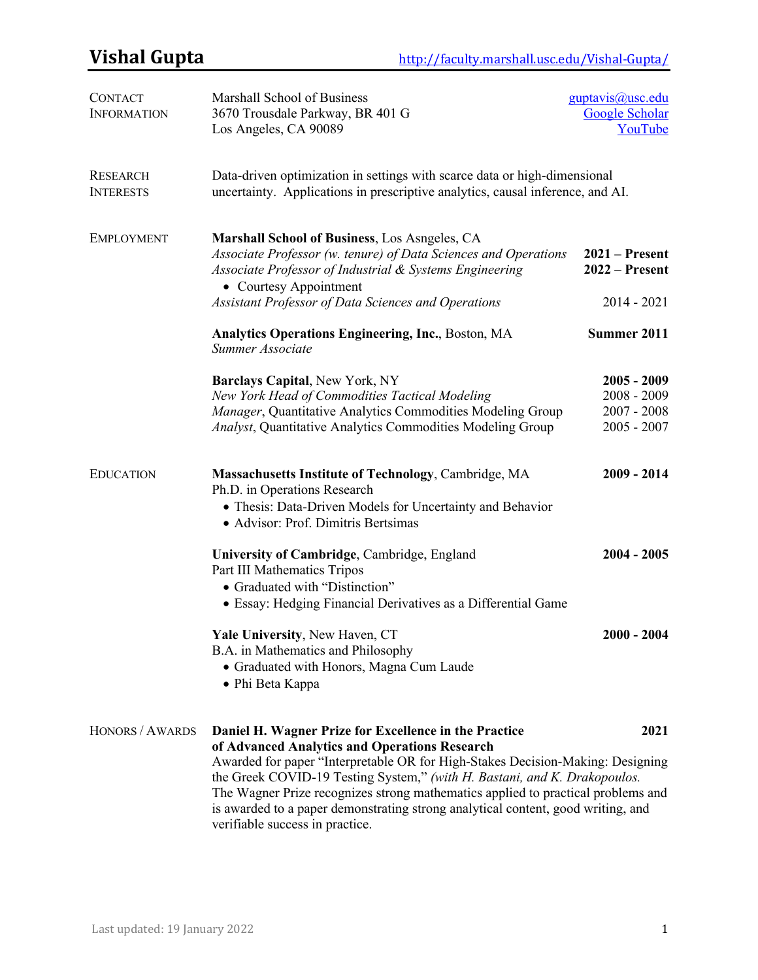| Los Angeles, CA 90089                                                                                                                                                                                                                                                                                                                                                                                                                         | Google Scholar<br>YouTube                                        |
|-----------------------------------------------------------------------------------------------------------------------------------------------------------------------------------------------------------------------------------------------------------------------------------------------------------------------------------------------------------------------------------------------------------------------------------------------|------------------------------------------------------------------|
| Data-driven optimization in settings with scarce data or high-dimensional<br>uncertainty. Applications in prescriptive analytics, causal inference, and AI.                                                                                                                                                                                                                                                                                   |                                                                  |
| Marshall School of Business, Los Asngeles, CA<br>Associate Professor (w. tenure) of Data Sciences and Operations<br>Associate Professor of Industrial & Systems Engineering                                                                                                                                                                                                                                                                   | $2021 -$ Present<br>$2022 -$ Present                             |
| Assistant Professor of Data Sciences and Operations                                                                                                                                                                                                                                                                                                                                                                                           | $2014 - 2021$                                                    |
| <b>Analytics Operations Engineering, Inc., Boston, MA</b><br>Summer Associate                                                                                                                                                                                                                                                                                                                                                                 | Summer 2011                                                      |
| <b>Barclays Capital, New York, NY</b><br>New York Head of Commodities Tactical Modeling<br>Manager, Quantitative Analytics Commodities Modeling Group<br><b>Analyst, Quantitative Analytics Commodities Modeling Group</b>                                                                                                                                                                                                                    | $2005 - 2009$<br>$2008 - 2009$<br>$2007 - 2008$<br>$2005 - 2007$ |
| Massachusetts Institute of Technology, Cambridge, MA<br>Ph.D. in Operations Research<br>• Thesis: Data-Driven Models for Uncertainty and Behavior<br>• Advisor: Prof. Dimitris Bertsimas                                                                                                                                                                                                                                                      | $2009 - 2014$                                                    |
| University of Cambridge, Cambridge, England<br>Part III Mathematics Tripos<br>• Graduated with "Distinction"<br>• Essay: Hedging Financial Derivatives as a Differential Game                                                                                                                                                                                                                                                                 | $2004 - 2005$                                                    |
| Yale University, New Haven, CT<br>B.A. in Mathematics and Philosophy<br>• Graduated with Honors, Magna Cum Laude<br>• Phi Beta Kappa                                                                                                                                                                                                                                                                                                          | $2000 - 2004$                                                    |
| Daniel H. Wagner Prize for Excellence in the Practice<br>of Advanced Analytics and Operations Research<br>Awarded for paper "Interpretable OR for High-Stakes Decision-Making: Designing<br>the Greek COVID-19 Testing System," (with H. Bastani, and K. Drakopoulos.<br>The Wagner Prize recognizes strong mathematics applied to practical problems and<br>is awarded to a paper demonstrating strong analytical content, good writing, and | 2021                                                             |
|                                                                                                                                                                                                                                                                                                                                                                                                                                               | • Courtesy Appointment<br>verifiable success in practice.        |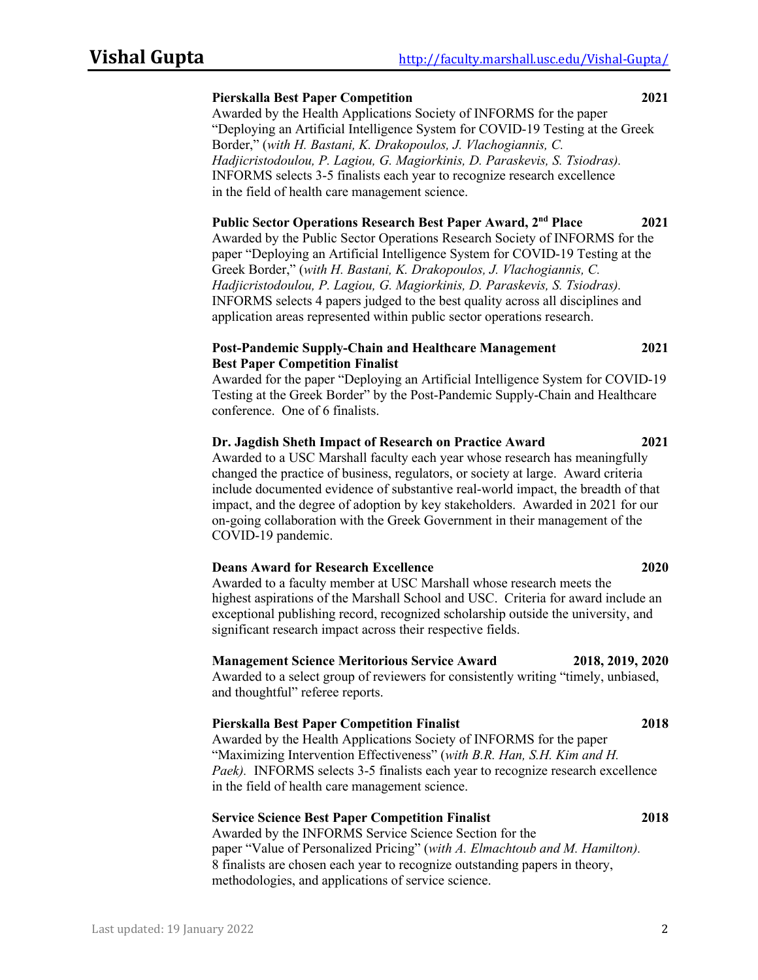## **Pierskalla Best Paper Competition 2021**

Awarded by the Health Applications Society of INFORMS for the paper "Deploying an Artificial Intelligence System for COVID-19 Testing at the Greek Border," (*with H. Bastani, K. Drakopoulos, J. Vlachogiannis, C. Hadjicristodoulou, P. Lagiou, G. Magiorkinis, D. Paraskevis, S. Tsiodras).*  INFORMS selects 3-5 finalists each year to recognize research excellence in the field of health care management science.

### **Public Sector Operations Research Best Paper Award, 2nd Place 2021**

Awarded by the Public Sector Operations Research Society of INFORMS for the paper "Deploying an Artificial Intelligence System for COVID-19 Testing at the Greek Border," (*with H. Bastani, K. Drakopoulos, J. Vlachogiannis, C. Hadjicristodoulou, P. Lagiou, G. Magiorkinis, D. Paraskevis, S. Tsiodras).*  INFORMS selects 4 papers judged to the best quality across all disciplines and application areas represented within public sector operations research.

### **Post-Pandemic Supply-Chain and Healthcare Management 2021 Best Paper Competition Finalist**

Awarded for the paper "Deploying an Artificial Intelligence System for COVID-19 Testing at the Greek Border" by the Post-Pandemic Supply-Chain and Healthcare conference. One of 6 finalists.

## **Dr. Jagdish Sheth Impact of Research on Practice Award 2021**

Awarded to a USC Marshall faculty each year whose research has meaningfully changed the practice of business, regulators, or society at large. Award criteria include documented evidence of substantive real-world impact, the breadth of that impact, and the degree of adoption by key stakeholders. Awarded in 2021 for our on-going collaboration with the Greek Government in their management of the COVID-19 pandemic.

## **Deans Award for Research Excellence 2020**

Awarded to a faculty member at USC Marshall whose research meets the highest aspirations of the Marshall School and USC. Criteria for award include an exceptional publishing record, recognized scholarship outside the university, and significant research impact across their respective fields.

### **Management Science Meritorious Service Award 2018, 2019, 2020**

Awarded to a select group of reviewers for consistently writing "timely, unbiased, and thoughtful" referee reports.

## **Pierskalla Best Paper Competition Finalist 2018**

Awarded by the Health Applications Society of INFORMS for the paper "Maximizing Intervention Effectiveness" (*with B.R. Han, S.H. Kim and H. Paek).* INFORMS selects 3-5 finalists each year to recognize research excellence in the field of health care management science.

## **Service Science Best Paper Competition Finalist 2018**

Awarded by the INFORMS Service Science Section for the paper "Value of Personalized Pricing" (*with A. Elmachtoub and M. Hamilton).*  8 finalists are chosen each year to recognize outstanding papers in theory, methodologies, and applications of service science.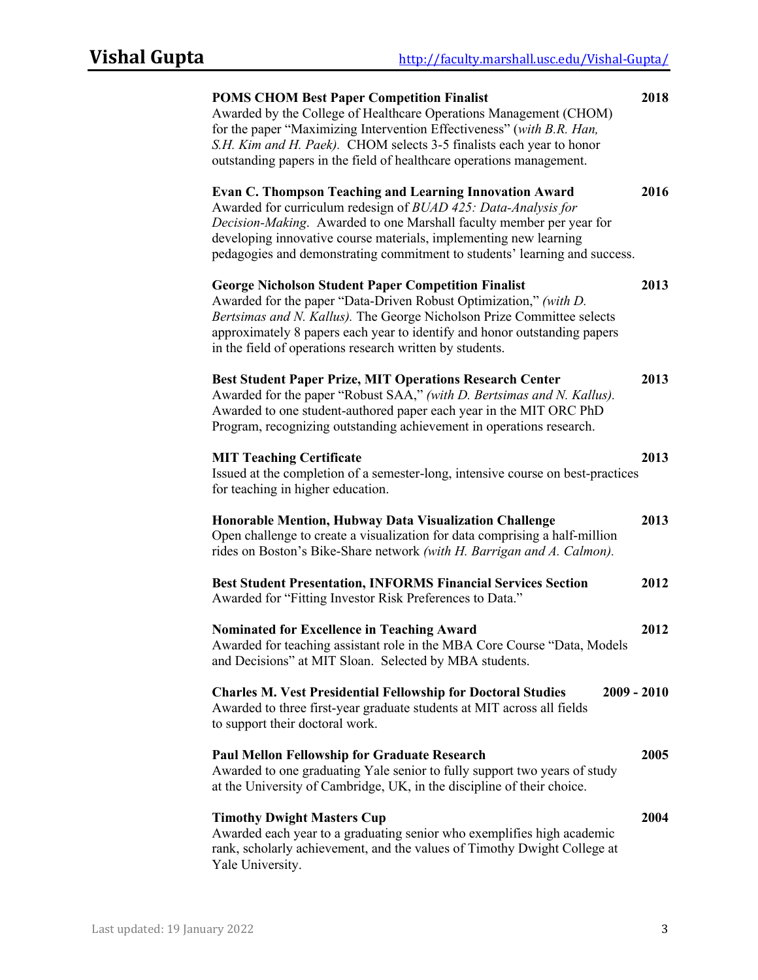| <b>POMS CHOM Best Paper Competition Finalist</b><br>Awarded by the College of Healthcare Operations Management (CHOM)<br>for the paper "Maximizing Intervention Effectiveness" (with B.R. Han,<br>S.H. Kim and H. Paek). CHOM selects 3-5 finalists each year to honor<br>outstanding papers in the field of healthcare operations management.              | 2018 |
|-------------------------------------------------------------------------------------------------------------------------------------------------------------------------------------------------------------------------------------------------------------------------------------------------------------------------------------------------------------|------|
| <b>Evan C. Thompson Teaching and Learning Innovation Award</b><br>Awarded for curriculum redesign of BUAD 425: Data-Analysis for<br>Decision-Making. Awarded to one Marshall faculty member per year for<br>developing innovative course materials, implementing new learning<br>pedagogies and demonstrating commitment to students' learning and success. | 2016 |
| <b>George Nicholson Student Paper Competition Finalist</b><br>Awarded for the paper "Data-Driven Robust Optimization," (with D.<br>Bertsimas and N. Kallus). The George Nicholson Prize Committee selects<br>approximately 8 papers each year to identify and honor outstanding papers<br>in the field of operations research written by students.          | 2013 |
| <b>Best Student Paper Prize, MIT Operations Research Center</b><br>Awarded for the paper "Robust SAA," (with D. Bertsimas and N. Kallus).<br>Awarded to one student-authored paper each year in the MIT ORC PhD<br>Program, recognizing outstanding achievement in operations research.                                                                     | 2013 |
| <b>MIT Teaching Certificate</b><br>Issued at the completion of a semester-long, intensive course on best-practices<br>for teaching in higher education.                                                                                                                                                                                                     | 2013 |
| Honorable Mention, Hubway Data Visualization Challenge<br>Open challenge to create a visualization for data comprising a half-million<br>rides on Boston's Bike-Share network (with H. Barrigan and A. Calmon).                                                                                                                                             | 2013 |
| <b>Best Student Presentation, INFORMS Financial Services Section</b><br>Awarded for "Fitting Investor Risk Preferences to Data."                                                                                                                                                                                                                            | 2012 |
| <b>Nominated for Excellence in Teaching Award</b><br>Awarded for teaching assistant role in the MBA Core Course "Data, Models<br>and Decisions" at MIT Sloan. Selected by MBA students.                                                                                                                                                                     | 2012 |
| <b>Charles M. Vest Presidential Fellowship for Doctoral Studies</b><br>2009 - 2010<br>Awarded to three first-year graduate students at MIT across all fields<br>to support their doctoral work.                                                                                                                                                             |      |
| <b>Paul Mellon Fellowship for Graduate Research</b><br>Awarded to one graduating Yale senior to fully support two years of study<br>at the University of Cambridge, UK, in the discipline of their choice.                                                                                                                                                  | 2005 |
| <b>Timothy Dwight Masters Cup</b><br>Awarded each year to a graduating senior who exemplifies high academic<br>rank, scholarly achievement, and the values of Timothy Dwight College at<br>Yale University.                                                                                                                                                 | 2004 |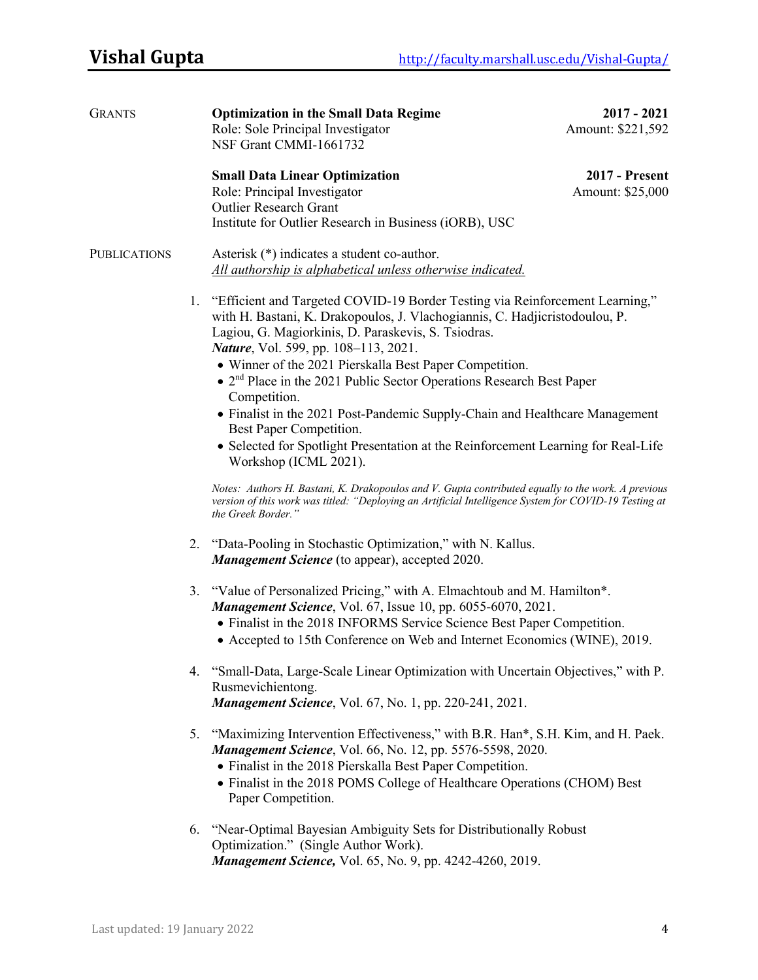| <b>GRANTS</b>       |    | <b>Optimization in the Small Data Regime</b><br>Role: Sole Principal Investigator                                                                                                                                                 | $2017 - 2021$<br>Amount: \$221,592 |
|---------------------|----|-----------------------------------------------------------------------------------------------------------------------------------------------------------------------------------------------------------------------------------|------------------------------------|
|                     |    | NSF Grant CMMI-1661732                                                                                                                                                                                                            |                                    |
|                     |    | <b>Small Data Linear Optimization</b>                                                                                                                                                                                             | <b>2017 - Present</b>              |
|                     |    | Role: Principal Investigator                                                                                                                                                                                                      | Amount: \$25,000                   |
|                     |    | <b>Outlier Research Grant</b>                                                                                                                                                                                                     |                                    |
|                     |    | Institute for Outlier Research in Business (iORB), USC                                                                                                                                                                            |                                    |
| <b>PUBLICATIONS</b> |    | Asterisk (*) indicates a student co-author.<br>All authorship is alphabetical unless otherwise indicated.                                                                                                                         |                                    |
|                     |    |                                                                                                                                                                                                                                   |                                    |
|                     | 1. | "Efficient and Targeted COVID-19 Border Testing via Reinforcement Learning,"<br>with H. Bastani, K. Drakopoulos, J. Vlachogiannis, C. Hadjicristodoulou, P.<br>Lagiou, G. Magiorkinis, D. Paraskevis, S. Tsiodras.                |                                    |
|                     |    | Nature, Vol. 599, pp. 108-113, 2021.                                                                                                                                                                                              |                                    |
|                     |    | • Winner of the 2021 Pierskalla Best Paper Competition.                                                                                                                                                                           |                                    |
|                     |    | $\bullet$ 2 <sup>nd</sup> Place in the 2021 Public Sector Operations Research Best Paper                                                                                                                                          |                                    |
|                     |    | Competition.                                                                                                                                                                                                                      |                                    |
|                     |    | • Finalist in the 2021 Post-Pandemic Supply-Chain and Healthcare Management<br>Best Paper Competition.                                                                                                                            |                                    |
|                     |    | • Selected for Spotlight Presentation at the Reinforcement Learning for Real-Life<br>Workshop (ICML 2021).                                                                                                                        |                                    |
|                     |    | Notes: Authors H. Bastani, K. Drakopoulos and V. Gupta contributed equally to the work. A previous<br>version of this work was titled: "Deploying an Artificial Intelligence System for COVID-19 Testing at<br>the Greek Border." |                                    |
|                     |    | 2. "Data-Pooling in Stochastic Optimization," with N. Kallus.<br><b>Management Science</b> (to appear), accepted 2020.                                                                                                            |                                    |
|                     | 3. | "Value of Personalized Pricing," with A. Elmachtoub and M. Hamilton*.<br><b>Management Science</b> , Vol. 67, Issue 10, pp. 6055-6070, 2021.                                                                                      |                                    |
|                     |    | • Finalist in the 2018 INFORMS Service Science Best Paper Competition.                                                                                                                                                            |                                    |
|                     |    | • Accepted to 15th Conference on Web and Internet Economics (WINE), 2019.                                                                                                                                                         |                                    |
|                     |    | 4. "Small-Data, Large-Scale Linear Optimization with Uncertain Objectives," with P.<br>Rusmevichientong.                                                                                                                          |                                    |
|                     |    | Management Science, Vol. 67, No. 1, pp. 220-241, 2021.                                                                                                                                                                            |                                    |
|                     | 5. | "Maximizing Intervention Effectiveness," with B.R. Han*, S.H. Kim, and H. Paek.<br>Management Science, Vol. 66, No. 12, pp. 5576-5598, 2020.                                                                                      |                                    |
|                     |    | • Finalist in the 2018 Pierskalla Best Paper Competition.                                                                                                                                                                         |                                    |
|                     |    | • Finalist in the 2018 POMS College of Healthcare Operations (CHOM) Best<br>Paper Competition.                                                                                                                                    |                                    |
|                     | 6. | "Near-Optimal Bayesian Ambiguity Sets for Distributionally Robust                                                                                                                                                                 |                                    |
|                     |    | Optimization." (Single Author Work).                                                                                                                                                                                              |                                    |
|                     |    | <b>Management Science, Vol. 65, No. 9, pp. 4242-4260, 2019.</b>                                                                                                                                                                   |                                    |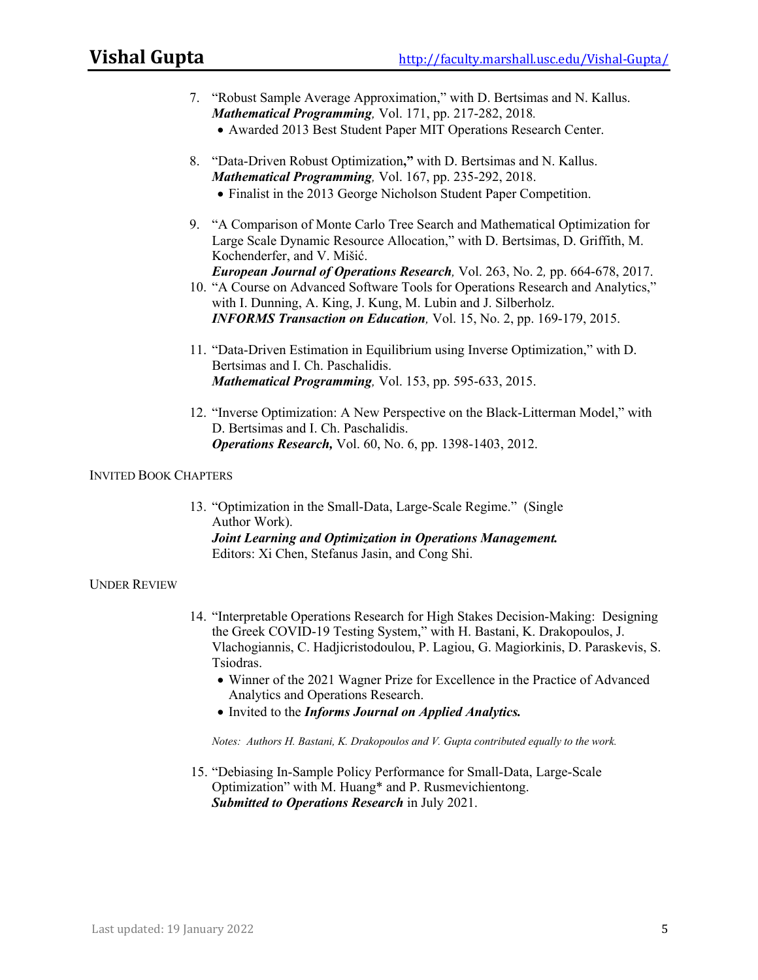- 7. "Robust Sample Average Approximation," with D. Bertsimas and N. Kallus. *Mathematical Programming,* Vol. 171, pp. 217-282, 2018*.*
	- Awarded 2013 Best Student Paper MIT Operations Research Center.
- 8. "Data-Driven Robust Optimization**,"** with D. Bertsimas and N. Kallus. *Mathematical Programming,* Vol. 167, pp. 235-292, 2018. • Finalist in the 2013 George Nicholson Student Paper Competition.
- 9. "A Comparison of Monte Carlo Tree Search and Mathematical Optimization for Large Scale Dynamic Resource Allocation," with D. Bertsimas, D. Griffith, M. Kochenderfer, and V. Mišić. *European Journal of Operations Research,* Vol. 263, No. 2*,* pp. 664-678, 2017.
- 10. "A Course on Advanced Software Tools for Operations Research and Analytics," with I. Dunning, A. King, J. Kung, M. Lubin and J. Silberholz. *INFORMS Transaction on Education,* Vol. 15, No. 2, pp. 169-179, 2015.
- 11. "Data-Driven Estimation in Equilibrium using Inverse Optimization," with D. Bertsimas and I. Ch. Paschalidis. *Mathematical Programming,* Vol. 153, pp. 595-633, 2015.
- 12. "Inverse Optimization: A New Perspective on the Black-Litterman Model," with D. Bertsimas and I. Ch. Paschalidis. *Operations Research,* Vol. 60, No. 6, pp. 1398-1403, 2012.

### INVITED BOOK CHAPTERS

13. "Optimization in the Small-Data, Large-Scale Regime." (Single Author Work). *Joint Learning and Optimization in Operations Management.* Editors: Xi Chen, Stefanus Jasin, and Cong Shi.

## UNDER REVIEW

- 14. "Interpretable Operations Research for High Stakes Decision-Making: Designing the Greek COVID-19 Testing System," with H. Bastani, K. Drakopoulos, J. Vlachogiannis, C. Hadjicristodoulou, P. Lagiou, G. Magiorkinis, D. Paraskevis, S. Tsiodras.
	- Winner of the 2021 Wagner Prize for Excellence in the Practice of Advanced Analytics and Operations Research.
	- Invited to the *Informs Journal on Applied Analytics.*

*Notes: Authors H. Bastani, K. Drakopoulos and V. Gupta contributed equally to the work.*

15. "Debiasing In-Sample Policy Performance for Small-Data, Large-Scale Optimization" with M. Huang\* and P. Rusmevichientong. *Submitted to Operations Research* in July 2021.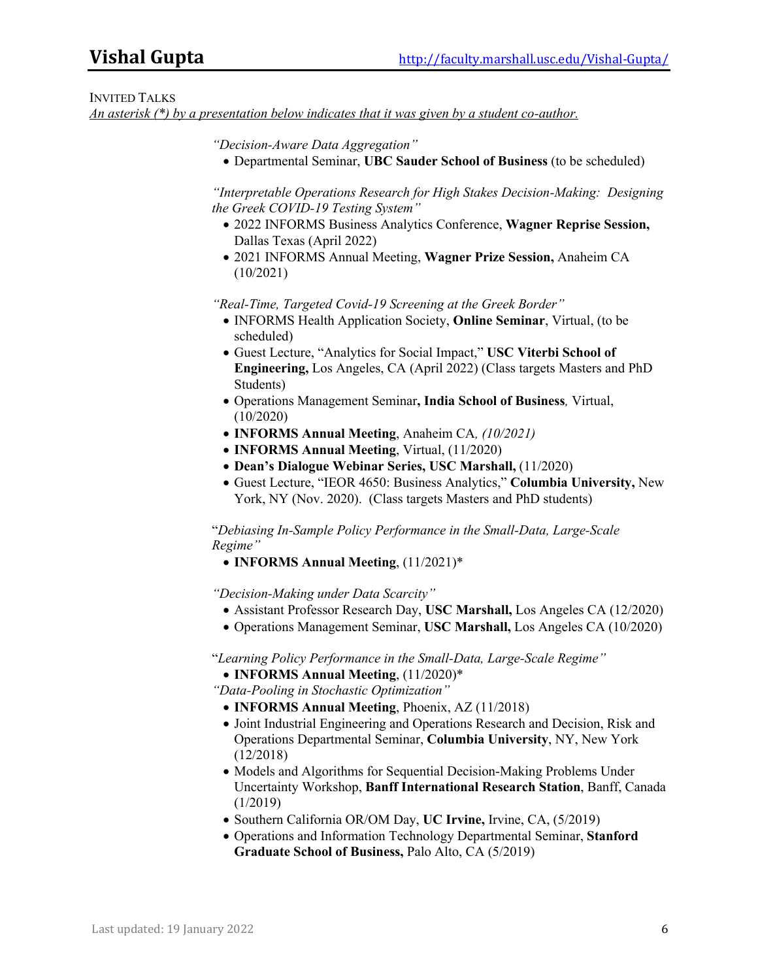## INVITED TALKS

*An asterisk (\*) by a presentation below indicates that it was given by a student co-author.*

*"Decision-Aware Data Aggregation"*

• Departmental Seminar, **UBC Sauder School of Business** (to be scheduled)

*"Interpretable Operations Research for High Stakes Decision-Making: Designing the Greek COVID-19 Testing System"*

- 2022 INFORMS Business Analytics Conference, **Wagner Reprise Session,**  Dallas Texas (April 2022)
- 2021 INFORMS Annual Meeting, **Wagner Prize Session,** Anaheim CA (10/2021)

*"Real-Time, Targeted Covid-19 Screening at the Greek Border"*

- INFORMS Health Application Society, **Online Seminar**, Virtual, (to be scheduled)
- Guest Lecture, "Analytics for Social Impact," **USC Viterbi School of Engineering,** Los Angeles, CA (April 2022) (Class targets Masters and PhD Students)
- Operations Management Seminar**, India School of Business***,* Virtual, (10/2020)
- **INFORMS Annual Meeting**, Anaheim CA*, (10/2021)*
- **INFORMS Annual Meeting**, Virtual, (11/2020)
- **Dean's Dialogue Webinar Series, USC Marshall,** (11/2020)
- Guest Lecture, "IEOR 4650: Business Analytics," **Columbia University,** New York, NY (Nov. 2020). (Class targets Masters and PhD students)

"*Debiasing In-Sample Policy Performance in the Small-Data, Large-Scale Regime"*

• **INFORMS Annual Meeting**, (11/2021)\*

*"Decision-Making under Data Scarcity"*

- Assistant Professor Research Day, **USC Marshall,** Los Angeles CA (12/2020)
- Operations Management Seminar, **USC Marshall,** Los Angeles CA (10/2020)

"*Learning Policy Performance in the Small-Data, Large-Scale Regime"*

• **INFORMS Annual Meeting**, (11/2020)\*

*"Data-Pooling in Stochastic Optimization"*

- **INFORMS Annual Meeting**, Phoenix, AZ (11/2018)
- Joint Industrial Engineering and Operations Research and Decision, Risk and Operations Departmental Seminar, **Columbia University**, NY, New York (12/2018)
- Models and Algorithms for Sequential Decision-Making Problems Under Uncertainty Workshop, **Banff International Research Station**, Banff, Canada (1/2019)
- Southern California OR/OM Day, **UC Irvine,** Irvine, CA, (5/2019)
- Operations and Information Technology Departmental Seminar, **Stanford Graduate School of Business,** Palo Alto, CA (5/2019)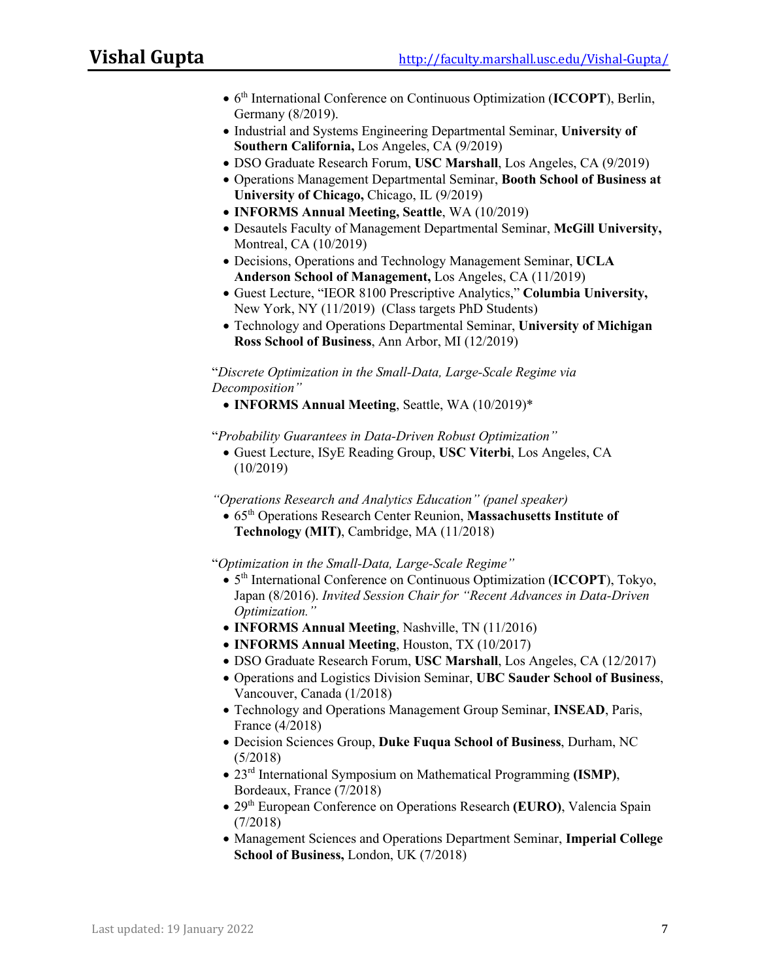- 6th International Conference on Continuous Optimization (**ICCOPT**), Berlin, Germany (8/2019).
- Industrial and Systems Engineering Departmental Seminar, **University of Southern California,** Los Angeles, CA (9/2019)
- DSO Graduate Research Forum, **USC Marshall**, Los Angeles, CA (9/2019)
- Operations Management Departmental Seminar, **Booth School of Business at University of Chicago,** Chicago, IL (9/2019)
- **INFORMS Annual Meeting, Seattle**, WA (10/2019)
- Desautels Faculty of Management Departmental Seminar, **McGill University,**  Montreal, CA (10/2019)
- Decisions, Operations and Technology Management Seminar, **UCLA Anderson School of Management,** Los Angeles, CA (11/2019)
- Guest Lecture, "IEOR 8100 Prescriptive Analytics," **Columbia University,**  New York, NY (11/2019) (Class targets PhD Students)
- Technology and Operations Departmental Seminar, **University of Michigan Ross School of Business**, Ann Arbor, MI (12/2019)

"*Discrete Optimization in the Small-Data, Large-Scale Regime via Decomposition"*

• **INFORMS Annual Meeting**, Seattle, WA (10/2019)\*

"*Probability Guarantees in Data-Driven Robust Optimization"*

• Guest Lecture, ISyE Reading Group, **USC Viterbi**, Los Angeles, CA (10/2019)

*"Operations Research and Analytics Education" (panel speaker)*

• 65th Operations Research Center Reunion, **Massachusetts Institute of Technology (MIT)**, Cambridge, MA (11/2018)

"*Optimization in the Small-Data, Large-Scale Regime"*

- 5th International Conference on Continuous Optimization (**ICCOPT**), Tokyo, Japan (8/2016). *Invited Session Chair for "Recent Advances in Data-Driven Optimization."*
- **INFORMS Annual Meeting**, Nashville, TN (11/2016)
- **INFORMS Annual Meeting**, Houston, TX (10/2017)
- DSO Graduate Research Forum, **USC Marshall**, Los Angeles, CA (12/2017)
- Operations and Logistics Division Seminar, **UBC Sauder School of Business**, Vancouver, Canada (1/2018)
- Technology and Operations Management Group Seminar, **INSEAD**, Paris, France (4/2018)
- Decision Sciences Group, **Duke Fuqua School of Business**, Durham, NC (5/2018)
- 23rd International Symposium on Mathematical Programming **(ISMP)**, Bordeaux, France (7/2018)
- 29th European Conference on Operations Research **(EURO)**, Valencia Spain (7/2018)
- Management Sciences and Operations Department Seminar, **Imperial College School of Business,** London, UK (7/2018)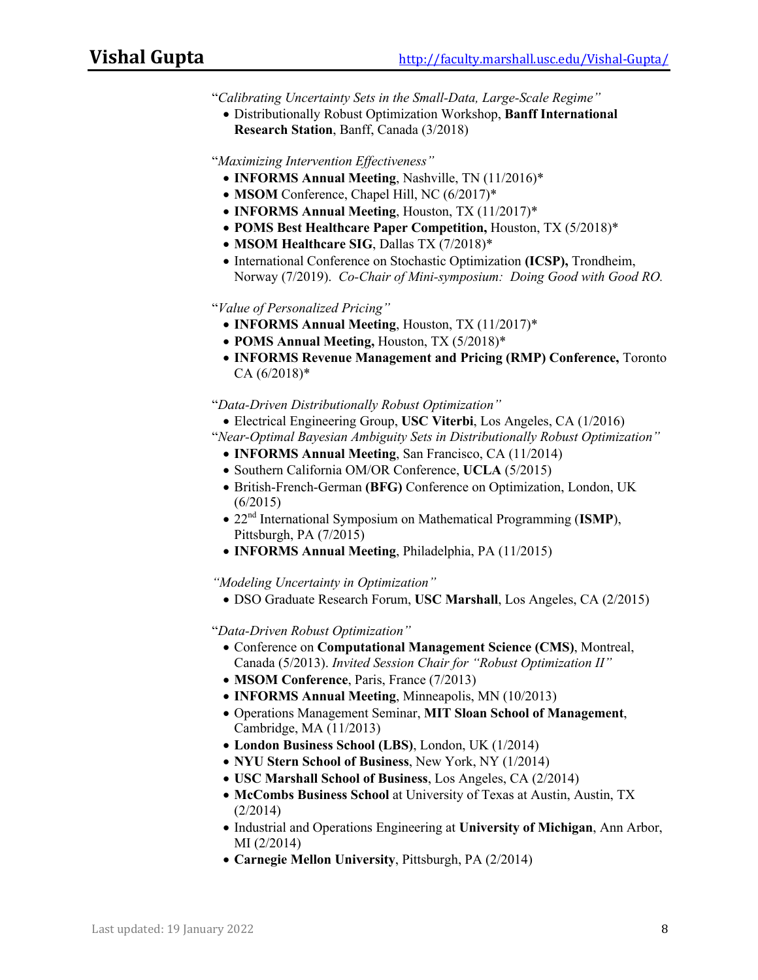"*Calibrating Uncertainty Sets in the Small-Data, Large-Scale Regime"*

• Distributionally Robust Optimization Workshop, **Banff International Research Station**, Banff, Canada (3/2018)

"*Maximizing Intervention Effectiveness"*

- **INFORMS Annual Meeting**, Nashville, TN (11/2016)\*
- **MSOM** Conference, Chapel Hill, NC (6/2017)\*
- **INFORMS Annual Meeting**, Houston, TX (11/2017)\*
- **POMS Best Healthcare Paper Competition,** Houston, TX (5/2018)\*
- **MSOM Healthcare SIG**, Dallas TX (7/2018)\*
- International Conference on Stochastic Optimization **(ICSP),** Trondheim, Norway (7/2019). *Co-Chair of Mini-symposium: Doing Good with Good RO.*

"*Value of Personalized Pricing"*

- **INFORMS Annual Meeting**, Houston, TX (11/2017)\*
- **POMS Annual Meeting,** Houston, TX (5/2018)\*
- **INFORMS Revenue Management and Pricing (RMP) Conference,** Toronto CA (6/2018)\*

"*Data-Driven Distributionally Robust Optimization"*

• Electrical Engineering Group, **USC Viterbi**, Los Angeles, CA (1/2016)

"*Near-Optimal Bayesian Ambiguity Sets in Distributionally Robust Optimization"*

- **INFORMS Annual Meeting**, San Francisco, CA (11/2014)
- Southern California OM/OR Conference, **UCLA** (5/2015)
- British-French-German **(BFG)** Conference on Optimization, London, UK  $(6/2015)$
- 22nd International Symposium on Mathematical Programming (**ISMP**), Pittsburgh, PA (7/2015)
- **INFORMS Annual Meeting**, Philadelphia, PA (11/2015)

*"Modeling Uncertainty in Optimization"*

• DSO Graduate Research Forum, **USC Marshall**, Los Angeles, CA (2/2015)

"*Data-Driven Robust Optimization"*

- Conference on **Computational Management Science (CMS)**, Montreal, Canada (5/2013). *Invited Session Chair for "Robust Optimization II"*
- **MSOM Conference**, Paris, France (7/2013)
- **INFORMS Annual Meeting**, Minneapolis, MN (10/2013)
- Operations Management Seminar, **MIT Sloan School of Management**, Cambridge, MA (11/2013)
- **London Business School (LBS)**, London, UK (1/2014)
- **NYU Stern School of Business**, New York, NY (1/2014)
- **USC Marshall School of Business**, Los Angeles, CA (2/2014)
- **McCombs Business School** at University of Texas at Austin, Austin, TX (2/2014)
- Industrial and Operations Engineering at **University of Michigan**, Ann Arbor, MI (2/2014)
- **Carnegie Mellon University**, Pittsburgh, PA (2/2014)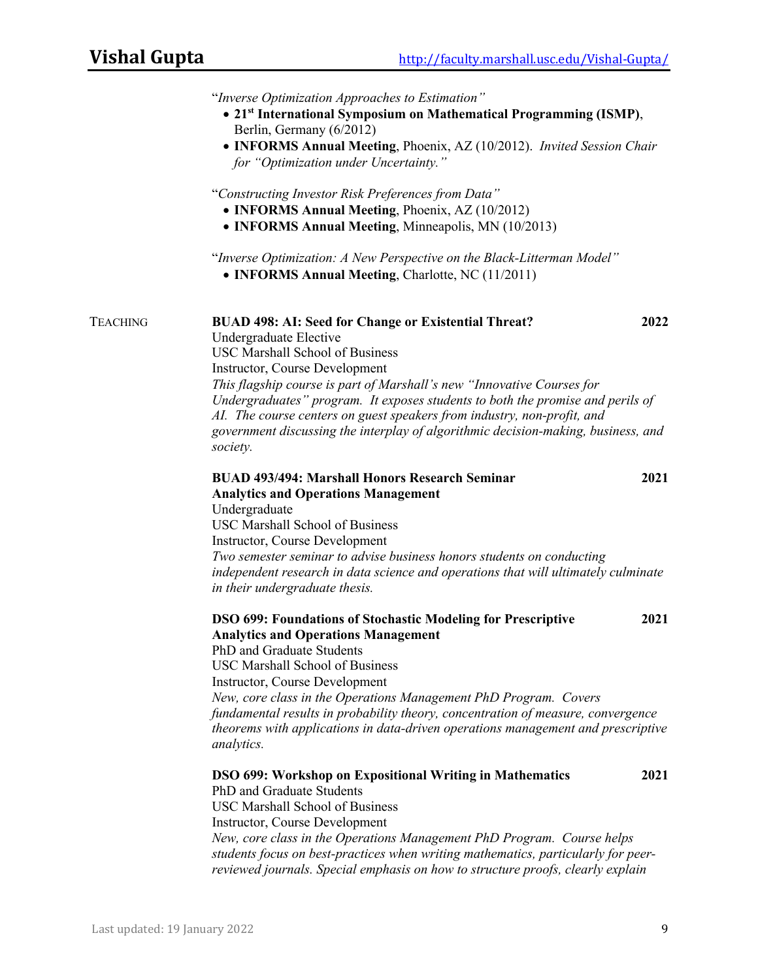|                 | "Inverse Optimization Approaches to Estimation"<br>• 21st International Symposium on Mathematical Programming (ISMP),<br>Berlin, Germany (6/2012)<br>• INFORMS Annual Meeting, Phoenix, AZ (10/2012). Invited Session Chair<br>for "Optimization under Uncertainty."                                                                                                                                                                                                                                       |  |
|-----------------|------------------------------------------------------------------------------------------------------------------------------------------------------------------------------------------------------------------------------------------------------------------------------------------------------------------------------------------------------------------------------------------------------------------------------------------------------------------------------------------------------------|--|
|                 | "Constructing Investor Risk Preferences from Data"<br>• INFORMS Annual Meeting, Phoenix, AZ (10/2012)<br>• INFORMS Annual Meeting, Minneapolis, MN (10/2013)                                                                                                                                                                                                                                                                                                                                               |  |
|                 | "Inverse Optimization: A New Perspective on the Black-Litterman Model"<br>• INFORMS Annual Meeting, Charlotte, NC (11/2011)                                                                                                                                                                                                                                                                                                                                                                                |  |
| <b>TEACHING</b> | 2022<br><b>BUAD 498: AI: Seed for Change or Existential Threat?</b><br>Undergraduate Elective<br><b>USC Marshall School of Business</b><br>Instructor, Course Development<br>This flagship course is part of Marshall's new "Innovative Courses for<br>Undergraduates" program. It exposes students to both the promise and perils of<br>AI. The course centers on guest speakers from industry, non-profit, and<br>government discussing the interplay of algorithmic decision-making, business, and      |  |
|                 | society.<br><b>BUAD 493/494: Marshall Honors Research Seminar</b><br>2021<br><b>Analytics and Operations Management</b><br>Undergraduate<br><b>USC Marshall School of Business</b><br>Instructor, Course Development<br>Two semester seminar to advise business honors students on conducting<br>independent research in data science and operations that will ultimately culminate<br>in their undergraduate thesis.                                                                                      |  |
|                 | 2021<br><b>DSO 699: Foundations of Stochastic Modeling for Prescriptive</b><br><b>Analytics and Operations Management</b><br>PhD and Graduate Students<br><b>USC Marshall School of Business</b><br><b>Instructor, Course Development</b><br>New, core class in the Operations Management PhD Program. Covers<br>fundamental results in probability theory, concentration of measure, convergence<br>theorems with applications in data-driven operations management and prescriptive<br><i>analytics.</i> |  |
|                 | <b>DSO 699: Workshop on Expositional Writing in Mathematics</b><br>2021<br>PhD and Graduate Students<br><b>USC Marshall School of Business</b><br>Instructor, Course Development<br>New, core class in the Operations Management PhD Program. Course helps<br>students focus on best-practices when writing mathematics, particularly for peer-<br>reviewed journals. Special emphasis on how to structure proofs, clearly explain                                                                         |  |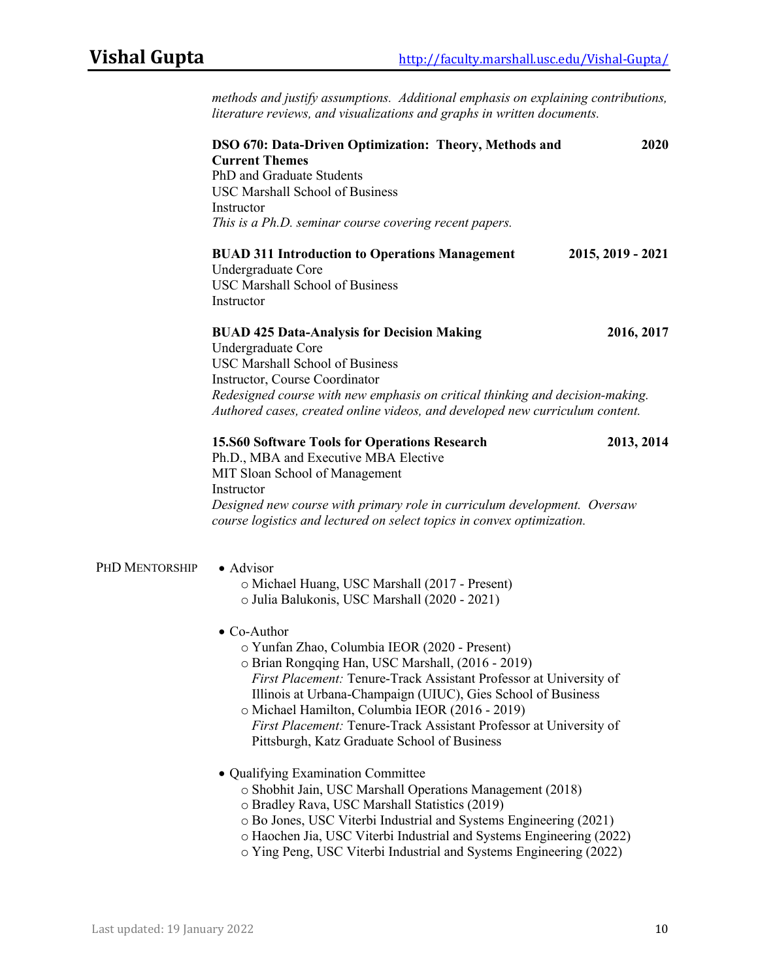*methods and justify assumptions. Additional emphasis on explaining contributions, literature reviews, and visualizations and graphs in written documents.* 

|                | <b>DSO 670: Data-Driven Optimization: Theory, Methods and</b><br><b>Current Themes</b><br>PhD and Graduate Students<br><b>USC Marshall School of Business</b><br>Instructor<br>This is a Ph.D. seminar course covering recent papers.                                                                                                                                                                                                                                                                                                                                                                 | 2020              |
|----------------|-------------------------------------------------------------------------------------------------------------------------------------------------------------------------------------------------------------------------------------------------------------------------------------------------------------------------------------------------------------------------------------------------------------------------------------------------------------------------------------------------------------------------------------------------------------------------------------------------------|-------------------|
|                | <b>BUAD 311 Introduction to Operations Management</b><br>Undergraduate Core<br><b>USC Marshall School of Business</b><br>Instructor                                                                                                                                                                                                                                                                                                                                                                                                                                                                   | 2015, 2019 - 2021 |
|                | <b>BUAD 425 Data-Analysis for Decision Making</b><br>Undergraduate Core<br><b>USC Marshall School of Business</b><br>Instructor, Course Coordinator<br>Redesigned course with new emphasis on critical thinking and decision-making.<br>Authored cases, created online videos, and developed new curriculum content.                                                                                                                                                                                                                                                                                  | 2016, 2017        |
|                | <b>15.860 Software Tools for Operations Research</b><br>Ph.D., MBA and Executive MBA Elective<br>MIT Sloan School of Management<br>Instructor<br>Designed new course with primary role in curriculum development. Oversaw<br>course logistics and lectured on select topics in convex optimization.                                                                                                                                                                                                                                                                                                   | 2013, 2014        |
| PHD MENTORSHIP | · Advisor<br>o Michael Huang, USC Marshall (2017 - Present)<br>o Julia Balukonis, USC Marshall (2020 - 2021)<br>$\bullet$ Co-Author<br>o Yunfan Zhao, Columbia IEOR (2020 - Present)<br>o Brian Rongqing Han, USC Marshall, (2016 - 2019)<br><b>First Placement: Tenure-Track Assistant Professor at University of</b><br>Illinois at Urbana-Champaign (UIUC), Gies School of Business<br>o Michael Hamilton, Columbia IEOR (2016 - 2019)<br>First Placement: Tenure-Track Assistant Professor at University of<br>Pittsburgh, Katz Graduate School of Business<br>· Qualifying Examination Committee |                   |
|                | o Shobhit Jain, USC Marshall Operations Management (2018)<br>o Bradley Rava, USC Marshall Statistics (2019)<br>o Bo Jones, USC Viterbi Industrial and Systems Engineering (2021)<br>o Haochen Jia, USC Viterbi Industrial and Systems Engineering (2022)<br>o Ying Peng, USC Viterbi Industrial and Systems Engineering (2022)                                                                                                                                                                                                                                                                        |                   |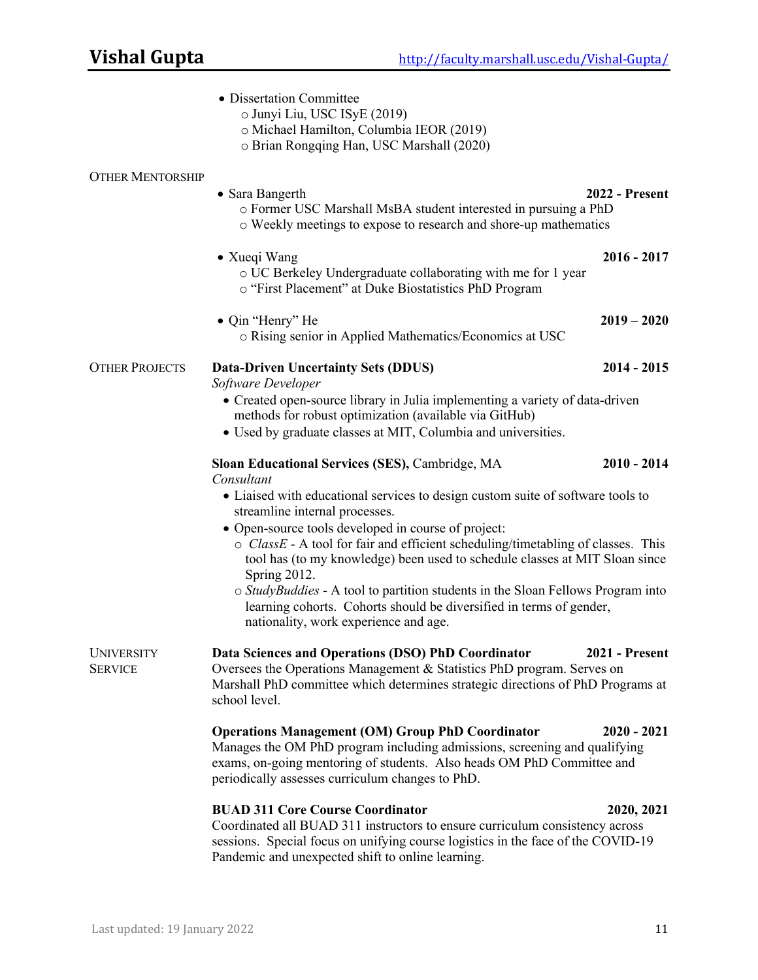|                                     | • Dissertation Committee<br>o Junyi Liu, USC ISyE (2019)<br>o Michael Hamilton, Columbia IEOR (2019)<br>o Brian Rongqing Han, USC Marshall (2020)                                                                                                                                                                                                                                                                                                                                                                                                                                                                               |               |
|-------------------------------------|---------------------------------------------------------------------------------------------------------------------------------------------------------------------------------------------------------------------------------------------------------------------------------------------------------------------------------------------------------------------------------------------------------------------------------------------------------------------------------------------------------------------------------------------------------------------------------------------------------------------------------|---------------|
| <b>OTHER MENTORSHIP</b>             | <b>2022 - Present</b><br>• Sara Bangerth<br>o Former USC Marshall MsBA student interested in pursuing a PhD<br>o Weekly meetings to expose to research and shore-up mathematics                                                                                                                                                                                                                                                                                                                                                                                                                                                 |               |
|                                     | • Xueqi Wang<br>o UC Berkeley Undergraduate collaborating with me for 1 year<br>o "First Placement" at Duke Biostatistics PhD Program                                                                                                                                                                                                                                                                                                                                                                                                                                                                                           | $2016 - 2017$ |
|                                     | • Qin "Henry" He<br>o Rising senior in Applied Mathematics/Economics at USC                                                                                                                                                                                                                                                                                                                                                                                                                                                                                                                                                     | $2019 - 2020$ |
| <b>OTHER PROJECTS</b>               | <b>Data-Driven Uncertainty Sets (DDUS)</b><br>Software Developer                                                                                                                                                                                                                                                                                                                                                                                                                                                                                                                                                                | $2014 - 2015$ |
|                                     | • Created open-source library in Julia implementing a variety of data-driven<br>methods for robust optimization (available via GitHub)<br>• Used by graduate classes at MIT, Columbia and universities.                                                                                                                                                                                                                                                                                                                                                                                                                         |               |
|                                     | Sloan Educational Services (SES), Cambridge, MA<br>Consultant<br>• Liaised with educational services to design custom suite of software tools to<br>streamline internal processes.<br>• Open-source tools developed in course of project:<br>o ClassE - A tool for fair and efficient scheduling/timetabling of classes. This<br>tool has (to my knowledge) been used to schedule classes at MIT Sloan since<br>Spring 2012.<br>o StudyBuddies - A tool to partition students in the Sloan Fellows Program into<br>learning cohorts. Cohorts should be diversified in terms of gender,<br>nationality, work experience and age. | $2010 - 2014$ |
| <b>UNIVERSITY</b><br><b>SERVICE</b> | Data Sciences and Operations (DSO) PhD Coordinator<br><b>2021 - Present</b><br>Oversees the Operations Management & Statistics PhD program. Serves on<br>Marshall PhD committee which determines strategic directions of PhD Programs at<br>school level.                                                                                                                                                                                                                                                                                                                                                                       |               |
|                                     | <b>Operations Management (OM) Group PhD Coordinator</b><br>Manages the OM PhD program including admissions, screening and qualifying<br>exams, on-going mentoring of students. Also heads OM PhD Committee and<br>periodically assesses curriculum changes to PhD.                                                                                                                                                                                                                                                                                                                                                              | $2020 - 2021$ |
|                                     | <b>BUAD 311 Core Course Coordinator</b><br>Coordinated all BUAD 311 instructors to ensure curriculum consistency across<br>sessions. Special focus on unifying course logistics in the face of the COVID-19<br>Pandemic and unexpected shift to online learning.                                                                                                                                                                                                                                                                                                                                                                | 2020, 2021    |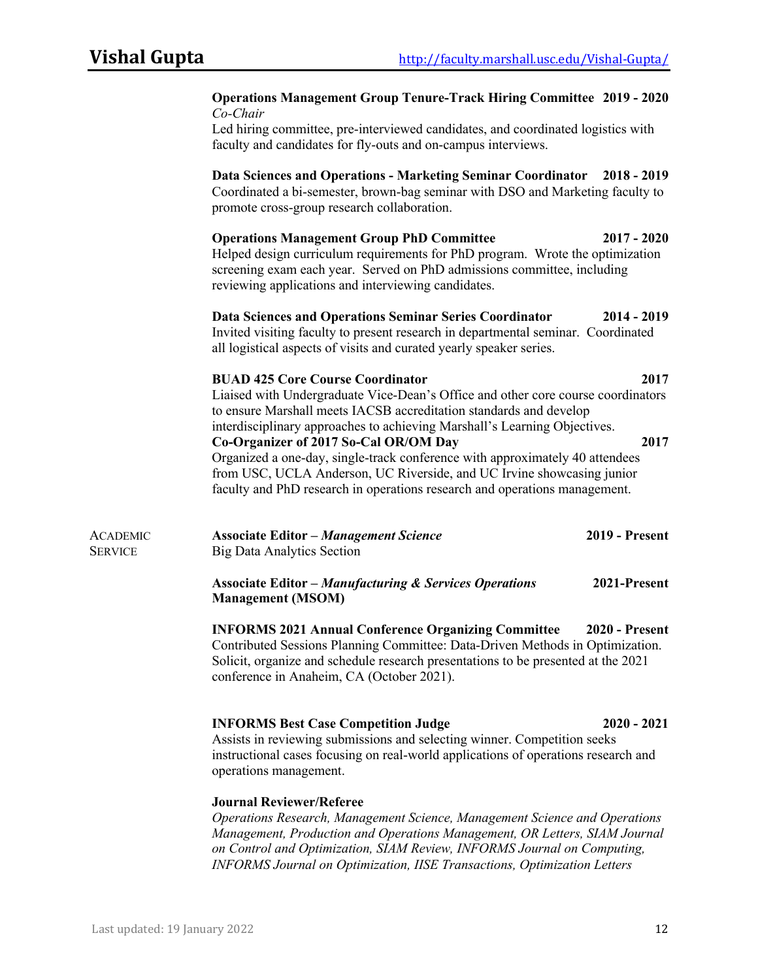|                                   | <b>Operations Management Group Tenure-Track Hiring Committee 2019 - 2020</b><br>Co-Chair<br>Led hiring committee, pre-interviewed candidates, and coordinated logistics with<br>faculty and candidates for fly-outs and on-campus interviews.                                                                                                                                                                                                                                                                                                                   |              |
|-----------------------------------|-----------------------------------------------------------------------------------------------------------------------------------------------------------------------------------------------------------------------------------------------------------------------------------------------------------------------------------------------------------------------------------------------------------------------------------------------------------------------------------------------------------------------------------------------------------------|--------------|
|                                   | Data Sciences and Operations - Marketing Seminar Coordinator 2018 - 2019<br>Coordinated a bi-semester, brown-bag seminar with DSO and Marketing faculty to<br>promote cross-group research collaboration.                                                                                                                                                                                                                                                                                                                                                       |              |
|                                   | <b>Operations Management Group PhD Committee</b><br>$2017 - 2020$<br>Helped design curriculum requirements for PhD program. Wrote the optimization<br>screening exam each year. Served on PhD admissions committee, including<br>reviewing applications and interviewing candidates.                                                                                                                                                                                                                                                                            |              |
|                                   | Data Sciences and Operations Seminar Series Coordinator<br>2014 - 2019<br>Invited visiting faculty to present research in departmental seminar. Coordinated<br>all logistical aspects of visits and curated yearly speaker series.                                                                                                                                                                                                                                                                                                                              |              |
|                                   | <b>BUAD 425 Core Course Coordinator</b><br>Liaised with Undergraduate Vice-Dean's Office and other core course coordinators<br>to ensure Marshall meets IACSB accreditation standards and develop<br>interdisciplinary approaches to achieving Marshall's Learning Objectives.<br>Co-Organizer of 2017 So-Cal OR/OM Day<br>Organized a one-day, single-track conference with approximately 40 attendees<br>from USC, UCLA Anderson, UC Riverside, and UC Irvine showcasing junior<br>faculty and PhD research in operations research and operations management. | 2017<br>2017 |
| <b>ACADEMIC</b><br><b>SERVICE</b> | <b>Associate Editor - Management Science</b><br><b>2019 - Present</b><br><b>Big Data Analytics Section</b>                                                                                                                                                                                                                                                                                                                                                                                                                                                      |              |
|                                   | <b>Associate Editor - Manufacturing &amp; Services Operations</b><br>2021-Present<br><b>Management (MSOM)</b>                                                                                                                                                                                                                                                                                                                                                                                                                                                   |              |
|                                   | <b>INFORMS 2021 Annual Conference Organizing Committee</b><br><b>2020 - Present</b><br>Contributed Sessions Planning Committee: Data-Driven Methods in Optimization.<br>Solicit, organize and schedule research presentations to be presented at the 2021<br>conference in Anaheim, CA (October 2021).                                                                                                                                                                                                                                                          |              |
|                                   | <b>INFORMS Best Case Competition Judge</b><br>$2020 - 2021$<br>Assists in reviewing submissions and selecting winner. Competition seeks<br>instructional cases focusing on real-world applications of operations research and<br>operations management.                                                                                                                                                                                                                                                                                                         |              |
|                                   | <b>Journal Reviewer/Referee</b><br>Operations Research, Management Science, Management Science and Operations<br>Management, Production and Operations Management, OR Letters, SIAM Journal                                                                                                                                                                                                                                                                                                                                                                     |              |

*on Control and Optimization, SIAM Review, INFORMS Journal on Computing, INFORMS Journal on Optimization, IISE Transactions, Optimization Letters*